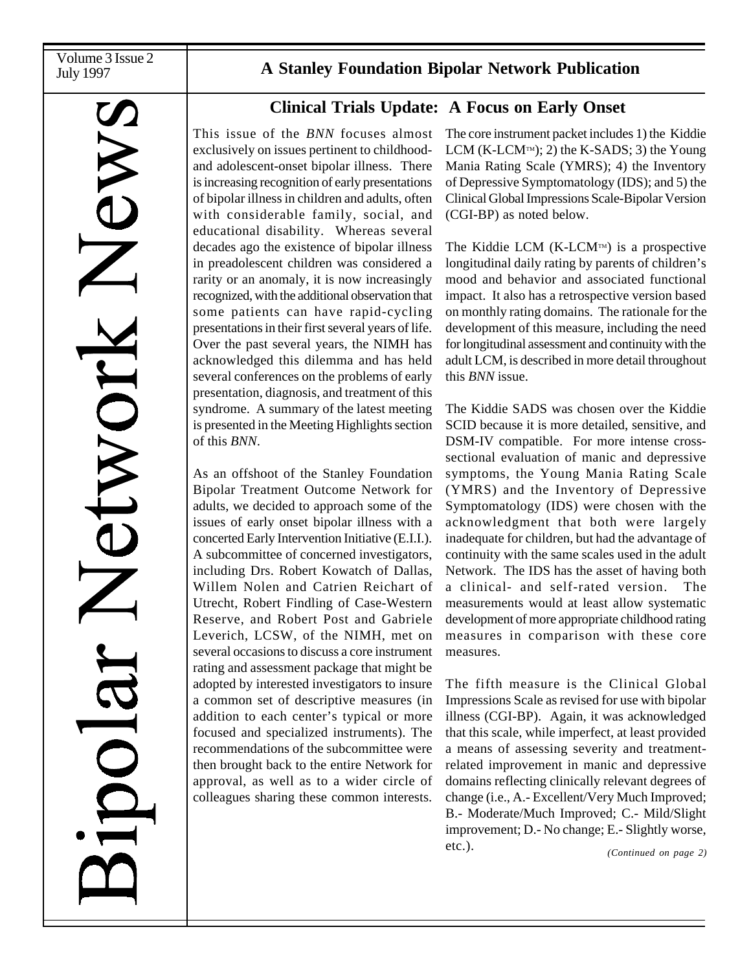# A Stanley Foundation Bipolar Network Publication

# **Clinical Trials Update: A Focus on Early Onset**

This issue of the *BNN* focuses almost exclusively on issues pertinent to childhoodand adolescent-onset bipolar illness. There is increasing recognition of early presentations of bipolar illness in children and adults, often with considerable family, social, and educational disability. Whereas several decades ago the existence of bipolar illness in preadolescent children was considered a rarity or an anomaly, it is now increasingly recognized, with the additional observation that some patients can have rapid-cycling presentations in their first several years of life. Over the past several years, the NIMH has acknowledged this dilemma and has held several conferences on the problems of early presentation, diagnosis, and treatment of this syndrome. A summary of the latest meeting is presented in the Meeting Highlights section of this *BNN*.

As an offshoot of the Stanley Foundation Bipolar Treatment Outcome Network for adults, we decided to approach some of the issues of early onset bipolar illness with a concerted Early Intervention Initiative (E.I.I.). A subcommittee of concerned investigators, including Drs. Robert Kowatch of Dallas, Willem Nolen and Catrien Reichart of Utrecht, Robert Findling of Case-Western Reserve, and Robert Post and Gabriele Leverich, LCSW, of the NIMH, met on several occasions to discuss a core instrument rating and assessment package that might be adopted by interested investigators to insure a common set of descriptive measures (in addition to each center's typical or more focused and specialized instruments). The recommendations of the subcommittee were then brought back to the entire Network for approval, as well as to a wider circle of colleagues sharing these common interests. The core instrument packet includes 1) the Kiddie LCM (K-LCM<sup>TM</sup>); 2) the K-SADS; 3) the Young Mania Rating Scale (YMRS); 4) the Inventory of Depressive Symptomatology (IDS); and 5) the Clinical Global Impressions Scale-Bipolar Version (CGI-BP) as noted below.

The Kiddie LCM  $(K-LCM)^{TM}$  is a prospective longitudinal daily rating by parents of children's mood and behavior and associated functional impact. It also has a retrospective version based on monthly rating domains. The rationale for the development of this measure, including the need for longitudinal assessment and continuity with the adult LCM, is described in more detail throughout this *BNN* issue.

The Kiddie SADS was chosen over the Kiddie SCID because it is more detailed, sensitive, and DSM-IV compatible. For more intense crosssectional evaluation of manic and depressive symptoms, the Young Mania Rating Scale (YMRS) and the Inventory of Depressive Symptomatology (IDS) were chosen with the acknowledgment that both were largely inadequate for children, but had the advantage of continuity with the same scales used in the adult Network. The IDS has the asset of having both a clinical- and self-rated version. The measurements would at least allow systematic development of more appropriate childhood rating measures in comparison with these core measures.

The fifth measure is the Clinical Global Impressions Scale as revised for use with bipolar illness (CGI-BP). Again, it was acknowledged that this scale, while imperfect, at least provided a means of assessing severity and treatmentrelated improvement in manic and depressive domains reflecting clinically relevant degrees of change (i.e., A.- Excellent/Very Much Improved; B.- Moderate/Much Improved; C.- Mild/Slight improvement; D.- No change; E.- Slightly worse, etc.). *(Continued on page 2)*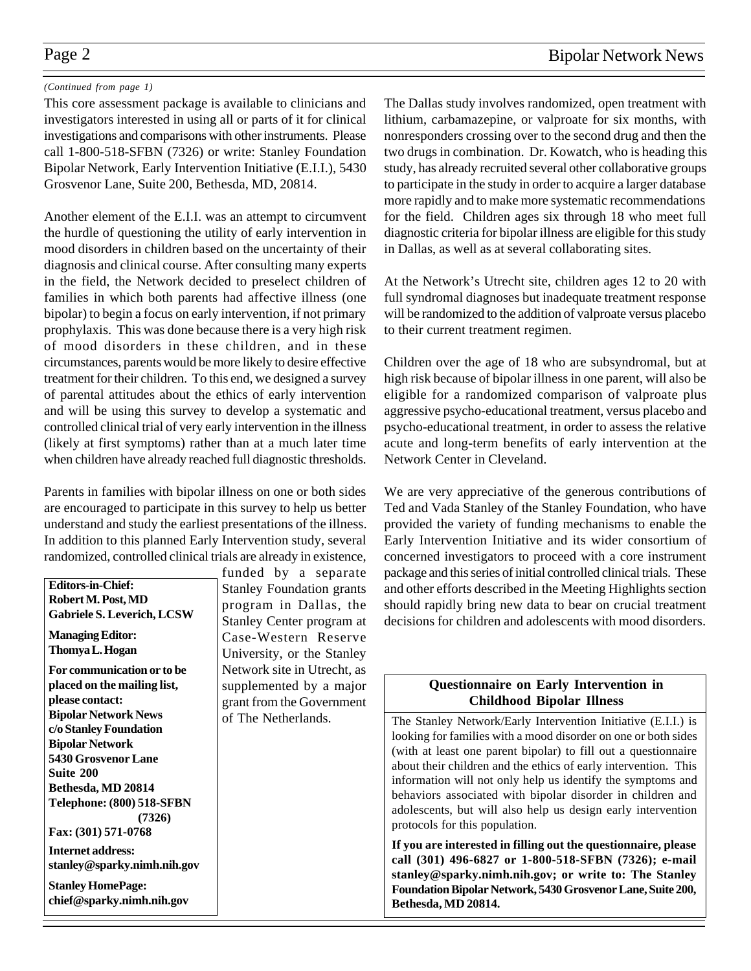### *(Continued from page 1)*

This core assessment package is available to clinicians and investigators interested in using all or parts of it for clinical investigations and comparisons with other instruments. Please call 1-800-518-SFBN (7326) or write: Stanley Foundation Bipolar Network, Early Intervention Initiative (E.I.I.), 5430 Grosvenor Lane, Suite 200, Bethesda, MD, 20814.

Another element of the E.I.I. was an attempt to circumvent the hurdle of questioning the utility of early intervention in mood disorders in children based on the uncertainty of their diagnosis and clinical course. After consulting many experts in the field, the Network decided to preselect children of families in which both parents had affective illness (one bipolar) to begin a focus on early intervention, if not primary prophylaxis. This was done because there is a very high risk of mood disorders in these children, and in these circumstances, parents would be more likely to desire effective treatment for their children. To this end, we designed a survey of parental attitudes about the ethics of early intervention and will be using this survey to develop a systematic and controlled clinical trial of very early intervention in the illness (likely at first symptoms) rather than at a much later time when children have already reached full diagnostic thresholds.

Parents in families with bipolar illness on one or both sides are encouraged to participate in this survey to help us better understand and study the earliest presentations of the illness. In addition to this planned Early Intervention study, several randomized, controlled clinical trials are already in existence,

| <b>Editors-in-Chief:</b><br>Robert M. Post, MD<br>Gabriele S. Leverich, LCSW<br><b>Managing Editor:</b><br>Thomya L. Hogan<br>For communication or to be                                                              | funded by a separate<br><b>Stanley Foundation grants</b><br>program in Dallas, the<br>Stanley Center program at<br>Case-Western Reserve<br>University, or the Stanley<br>Network site in Utrecht, as<br>supplemented by a major<br>grant from the Government<br>of The Netherlands. | package and this series of initial controlled clinical<br>and other efforts described in the Meeting Highl<br>should rapidly bring new data to bear on cruci<br>decisions for children and adolescents with mod                                                                                                                                                                                                         |
|-----------------------------------------------------------------------------------------------------------------------------------------------------------------------------------------------------------------------|-------------------------------------------------------------------------------------------------------------------------------------------------------------------------------------------------------------------------------------------------------------------------------------|-------------------------------------------------------------------------------------------------------------------------------------------------------------------------------------------------------------------------------------------------------------------------------------------------------------------------------------------------------------------------------------------------------------------------|
| placed on the mailing list,<br>please contact:                                                                                                                                                                        |                                                                                                                                                                                                                                                                                     | <b>Questionnaire on Early Interventio</b><br><b>Childhood Bipolar Illness</b>                                                                                                                                                                                                                                                                                                                                           |
| <b>Bipolar Network News</b><br>c/o Stanley Foundation<br><b>Bipolar Network</b><br><b>5430 Grosvenor Lane</b><br>Suite 200<br>Bethesda, MD 20814<br><b>Telephone: (800) 518-SFBN</b><br>(7326)<br>Fax: (301) 571-0768 |                                                                                                                                                                                                                                                                                     | The Stanley Network/Early Intervention Initiativ<br>looking for families with a mood disorder on one of<br>(with at least one parent bipolar) to fill out a qu<br>about their children and the ethics of early interve<br>information will not only help us identify the syn<br>behaviors associated with bipolar disorder in cl<br>adolescents, but will also help us design early i<br>protocols for this population. |
| <b>Internet address:</b><br>stanley@sparky.nimh.nih.gov<br><b>Stanley HomePage:</b><br>chief@sparky.nimh.nih.gov                                                                                                      |                                                                                                                                                                                                                                                                                     | If you are interested in filling out the questionn:<br>call (301) 496-6827 or 1-800-518-SFBN (732<br>stanley@sparky.nimh.nih.gov; or write to: T<br><b>Foundation Bipolar Network, 5430 Grosvenor Lan</b><br>Bethesda, MD 20814.                                                                                                                                                                                        |

The Dallas study involves randomized, open treatment with lithium, carbamazepine, or valproate for six months, with nonresponders crossing over to the second drug and then the two drugs in combination. Dr. Kowatch, who is heading this study, has already recruited several other collaborative groups to participate in the study in order to acquire a larger database more rapidly and to make more systematic recommendations for the field. Children ages six through 18 who meet full diagnostic criteria for bipolar illness are eligible for this study in Dallas, as well as at several collaborating sites.

At the Network's Utrecht site, children ages 12 to 20 with full syndromal diagnoses but inadequate treatment response will be randomized to the addition of valproate versus placebo to their current treatment regimen.

Children over the age of 18 who are subsyndromal, but at high risk because of bipolar illness in one parent, will also be eligible for a randomized comparison of valproate plus aggressive psycho-educational treatment, versus placebo and psycho-educational treatment, in order to assess the relative acute and long-term benefits of early intervention at the Network Center in Cleveland.

We are very appreciative of the generous contributions of Ted and Vada Stanley of the Stanley Foundation, who have provided the variety of funding mechanisms to enable the Early Intervention Initiative and its wider consortium of concerned investigators to proceed with a core instrument trials. These ights section al treatment od disorders.

# **Questionnaire on Early Intervention in**

 $ve$  (E.I.I.) is or both sides uestionnaire ention. This nptoms and hildren and intervention

**If you are interested in filling out the questionnaire, please 26); e-mail he Stanley e, Suite 200,**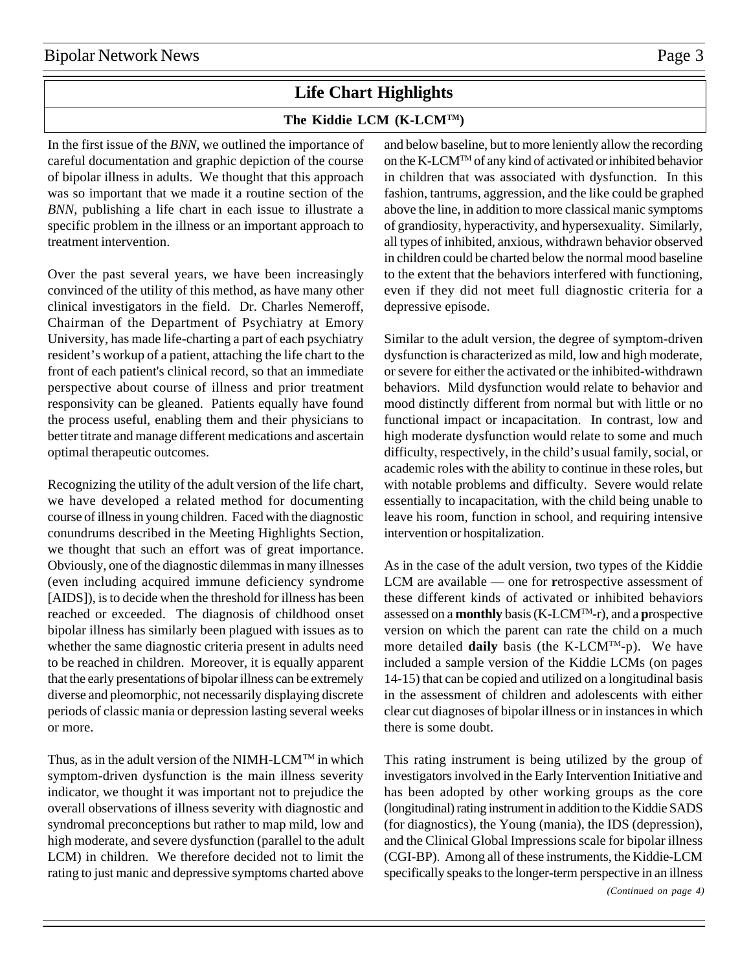# **Life Chart Highlights**

# **The Kiddie LCM (K-LCMTM)**

In the first issue of the *BNN*, we outlined the importance of careful documentation and graphic depiction of the course of bipolar illness in adults. We thought that this approach was so important that we made it a routine section of the *BNN*, publishing a life chart in each issue to illustrate a specific problem in the illness or an important approach to treatment intervention.

Over the past several years, we have been increasingly convinced of the utility of this method, as have many other clinical investigators in the field. Dr. Charles Nemeroff, Chairman of the Department of Psychiatry at Emory University, has made life-charting a part of each psychiatry resident's workup of a patient, attaching the life chart to the front of each patient's clinical record, so that an immediate perspective about course of illness and prior treatment responsivity can be gleaned. Patients equally have found the process useful, enabling them and their physicians to better titrate and manage different medications and ascertain optimal therapeutic outcomes.

Recognizing the utility of the adult version of the life chart, we have developed a related method for documenting course of illness in young children. Faced with the diagnostic conundrums described in the Meeting Highlights Section, we thought that such an effort was of great importance. Obviously, one of the diagnostic dilemmas in many illnesses (even including acquired immune deficiency syndrome [AIDS]), is to decide when the threshold for illness has been reached or exceeded. The diagnosis of childhood onset bipolar illness has similarly been plagued with issues as to whether the same diagnostic criteria present in adults need to be reached in children. Moreover, it is equally apparent that the early presentations of bipolar illness can be extremely diverse and pleomorphic, not necessarily displaying discrete periods of classic mania or depression lasting several weeks or more.

Thus, as in the adult version of the NIMH-LCM<sup>TM</sup> in which symptom-driven dysfunction is the main illness severity indicator, we thought it was important not to prejudice the overall observations of illness severity with diagnostic and syndromal preconceptions but rather to map mild, low and high moderate, and severe dysfunction (parallel to the adult LCM) in children. We therefore decided not to limit the rating to just manic and depressive symptoms charted above

and below baseline, but to more leniently allow the recording on the K-LCMTM of any kind of activated or inhibited behavior in children that was associated with dysfunction. In this fashion, tantrums, aggression, and the like could be graphed above the line, in addition to more classical manic symptoms of grandiosity, hyperactivity, and hypersexuality. Similarly, all types of inhibited, anxious, withdrawn behavior observed in children could be charted below the normal mood baseline to the extent that the behaviors interfered with functioning, even if they did not meet full diagnostic criteria for a depressive episode.

Similar to the adult version, the degree of symptom-driven dysfunction is characterized as mild, low and high moderate, or severe for either the activated or the inhibited-withdrawn behaviors. Mild dysfunction would relate to behavior and mood distinctly different from normal but with little or no functional impact or incapacitation. In contrast, low and high moderate dysfunction would relate to some and much difficulty, respectively, in the child's usual family, social, or academic roles with the ability to continue in these roles, but with notable problems and difficulty. Severe would relate essentially to incapacitation, with the child being unable to leave his room, function in school, and requiring intensive intervention or hospitalization.

As in the case of the adult version, two types of the Kiddie LCM are available — one for **r**etrospective assessment of these different kinds of activated or inhibited behaviors assessed on a **monthly** basis (K-LCMTM-r), and a **p**rospective version on which the parent can rate the child on a much more detailed **daily** basis (the K-LCMTM-p). We have included a sample version of the Kiddie LCMs (on pages 14-15) that can be copied and utilized on a longitudinal basis in the assessment of children and adolescents with either clear cut diagnoses of bipolar illness or in instances in which there is some doubt.

This rating instrument is being utilized by the group of investigators involved in the Early Intervention Initiative and has been adopted by other working groups as the core (longitudinal) rating instrument in addition to the Kiddie SADS (for diagnostics), the Young (mania), the IDS (depression), and the Clinical Global Impressions scale for bipolar illness (CGI-BP). Among all of these instruments, the Kiddie-LCM specifically speaks to the longer-term perspective in an illness *(Continued on page 4)*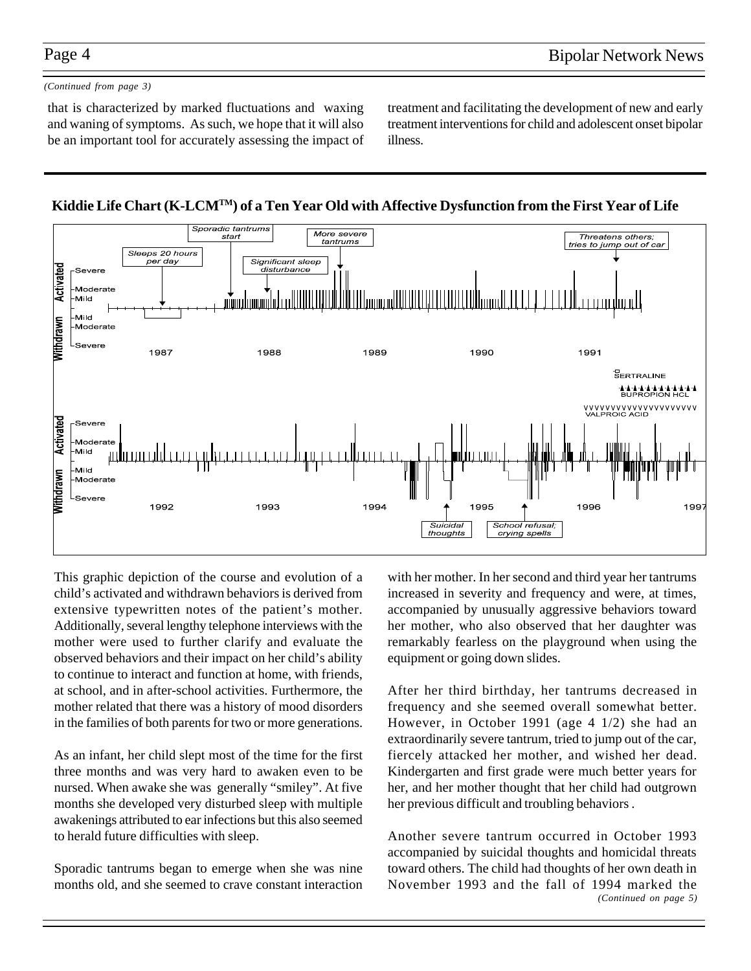### *(Continued from page 3)*

that is characterized by marked fluctuations and waxing and waning of symptoms. As such, we hope that it will also be an important tool for accurately assessing the impact of treatment and facilitating the development of new and early treatment interventions for child and adolescent onset bipolar illness.





This graphic depiction of the course and evolution of a child's activated and withdrawn behaviors is derived from extensive typewritten notes of the patient's mother. Additionally, several lengthy telephone interviews with the mother were used to further clarify and evaluate the observed behaviors and their impact on her child's ability to continue to interact and function at home, with friends, at school, and in after-school activities. Furthermore, the mother related that there was a history of mood disorders in the families of both parents for two or more generations.

As an infant, her child slept most of the time for the first three months and was very hard to awaken even to be nursed. When awake she was generally "smiley". At five months she developed very disturbed sleep with multiple awakenings attributed to ear infections but this also seemed to herald future difficulties with sleep.

Sporadic tantrums began to emerge when she was nine months old, and she seemed to crave constant interaction

with her mother. In her second and third year her tantrums increased in severity and frequency and were, at times, accompanied by unusually aggressive behaviors toward her mother, who also observed that her daughter was remarkably fearless on the playground when using the equipment or going down slides.

After her third birthday, her tantrums decreased in frequency and she seemed overall somewhat better. However, in October 1991 (age 4 1/2) she had an extraordinarily severe tantrum, tried to jump out of the car, fiercely attacked her mother, and wished her dead. Kindergarten and first grade were much better years for her, and her mother thought that her child had outgrown her previous difficult and troubling behaviors .

Another severe tantrum occurred in October 1993 accompanied by suicidal thoughts and homicidal threats toward others. The child had thoughts of her own death in November 1993 and the fall of 1994 marked the *(Continued on page 5)*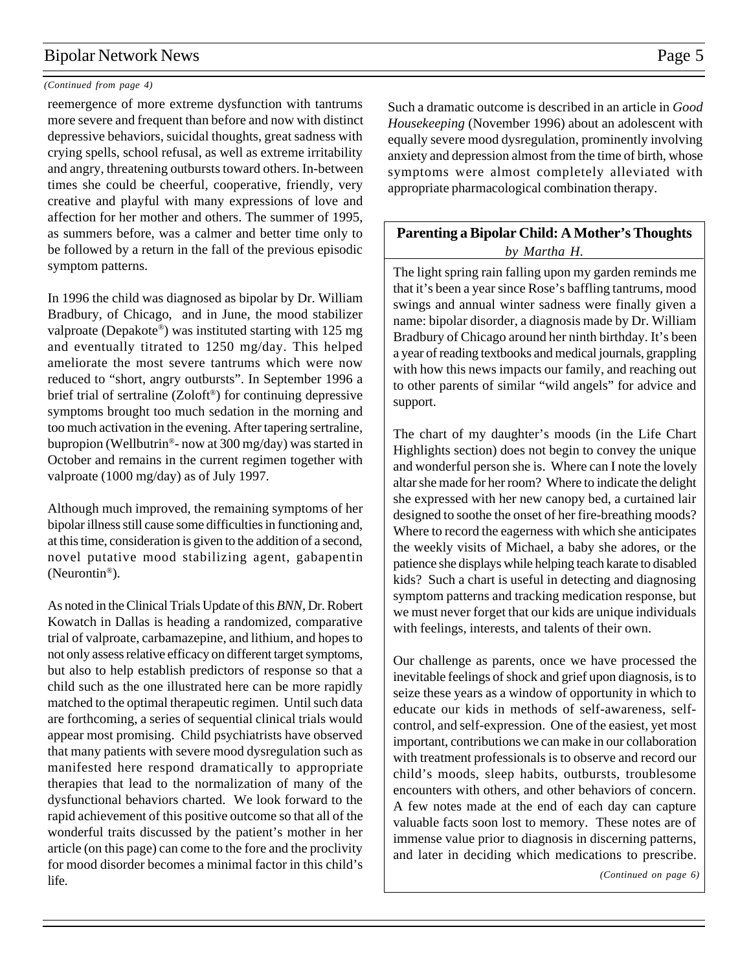### *(Continued from page 4)*

reemergence of more extreme dysfunction with tantrums more severe and frequent than before and now with distinct depressive behaviors, suicidal thoughts, great sadness with crying spells, school refusal, as well as extreme irritability and angry, threatening outbursts toward others. In-between times she could be cheerful, cooperative, friendly, very creative and playful with many expressions of love and affection for her mother and others. The summer of 1995, as summers before, was a calmer and better time only to be followed by a return in the fall of the previous episodic symptom patterns.

In 1996 the child was diagnosed as bipolar by Dr. William Bradbury, of Chicago, and in June, the mood stabilizer valproate (Depakote®) was instituted starting with 125 mg and eventually titrated to 1250 mg/day. This helped ameliorate the most severe tantrums which were now reduced to "short, angry outbursts". In September 1996 a brief trial of sertraline (Zoloft®) for continuing depressive symptoms brought too much sedation in the morning and too much activation in the evening. After tapering sertraline, bupropion (Wellbutrin®- now at 300 mg/day) was started in October and remains in the current regimen together with valproate (1000 mg/day) as of July 1997.

Although much improved, the remaining symptoms of her bipolar illness still cause some difficulties in functioning and, at this time, consideration is given to the addition of a second, novel putative mood stabilizing agent, gabapentin (Neurontin®).

As noted in the Clinical Trials Update of this *BNN*, Dr. Robert Kowatch in Dallas is heading a randomized, comparative trial of valproate, carbamazepine, and lithium, and hopes to not only assess relative efficacy on different target symptoms, but also to help establish predictors of response so that a child such as the one illustrated here can be more rapidly matched to the optimal therapeutic regimen. Until such data are forthcoming, a series of sequential clinical trials would appear most promising. Child psychiatrists have observed that many patients with severe mood dysregulation such as manifested here respond dramatically to appropriate therapies that lead to the normalization of many of the dysfunctional behaviors charted. We look forward to the rapid achievement of this positive outcome so that all of the wonderful traits discussed by the patient's mother in her article (on this page) can come to the fore and the proclivity for mood disorder becomes a minimal factor in this child's life.

Such a dramatic outcome is described in an article in *Good Housekeeping* (November 1996) about an adolescent with equally severe mood dysregulation, prominently involving anxiety and depression almost from the time of birth, whose symptoms were almost completely alleviated with appropriate pharmacological combination therapy.

### **Parenting a Bipolar Child: A Mother's Thoughts** *by Martha H.*

The light spring rain falling upon my garden reminds me that it's been a year since Rose's baffling tantrums, mood swings and annual winter sadness were finally given a name: bipolar disorder, a diagnosis made by Dr. William Bradbury of Chicago around her ninth birthday. It's been a year of reading textbooks and medical journals, grappling with how this news impacts our family, and reaching out to other parents of similar "wild angels" for advice and support.

The chart of my daughter's moods (in the Life Chart Highlights section) does not begin to convey the unique and wonderful person she is. Where can I note the lovely altar she made for her room? Where to indicate the delight she expressed with her new canopy bed, a curtained lair designed to soothe the onset of her fire-breathing moods? Where to record the eagerness with which she anticipates the weekly visits of Michael, a baby she adores, or the patience she displays while helping teach karate to disabled kids? Such a chart is useful in detecting and diagnosing symptom patterns and tracking medication response, but we must never forget that our kids are unique individuals with feelings, interests, and talents of their own.

Our challenge as parents, once we have processed the inevitable feelings of shock and grief upon diagnosis, is to seize these years as a window of opportunity in which to educate our kids in methods of self-awareness, selfcontrol, and self-expression. One of the easiest, yet most important, contributions we can make in our collaboration with treatment professionals is to observe and record our child's moods, sleep habits, outbursts, troublesome encounters with others, and other behaviors of concern. A few notes made at the end of each day can capture valuable facts soon lost to memory. These notes are of immense value prior to diagnosis in discerning patterns, and later in deciding which medications to prescribe.

*(Continued on page 6)*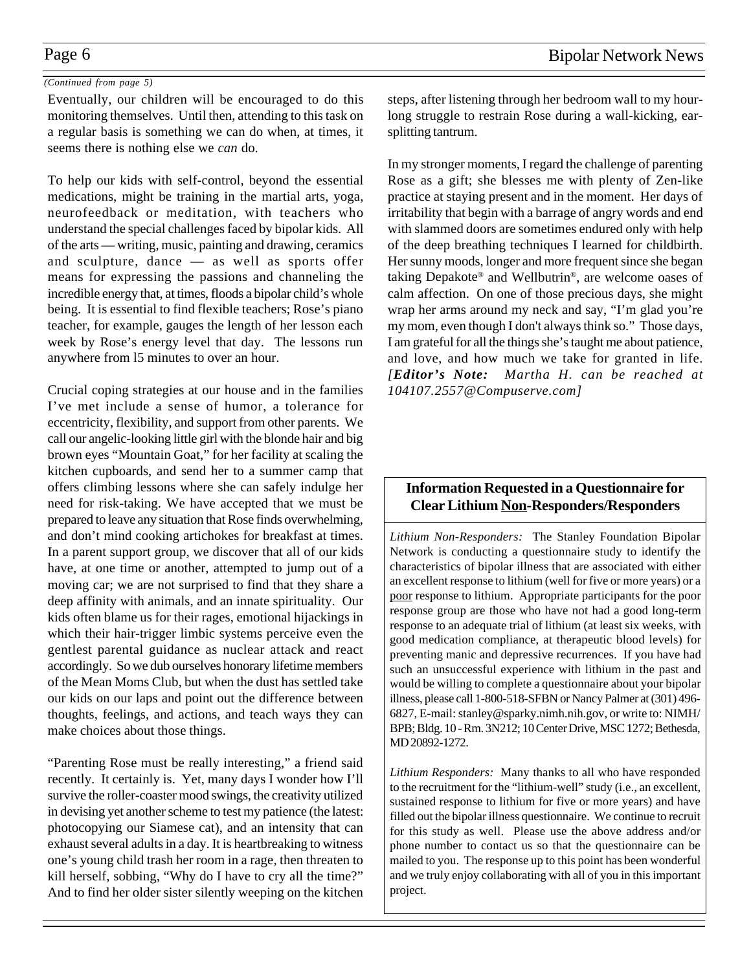### *(Continued from page 5)*

Eventually, our children will be encouraged to do this monitoring themselves. Until then, attending to this task on a regular basis is something we can do when, at times, it seems there is nothing else we *can* do.

To help our kids with self-control, beyond the essential medications, might be training in the martial arts, yoga, neurofeedback or meditation, with teachers who understand the special challenges faced by bipolar kids. All of the arts — writing, music, painting and drawing, ceramics and sculpture, dance — as well as sports offer means for expressing the passions and channeling the incredible energy that, at times, floods a bipolar child's whole being. It is essential to find flexible teachers; Rose's piano teacher, for example, gauges the length of her lesson each week by Rose's energy level that day. The lessons run anywhere from l5 minutes to over an hour.

Crucial coping strategies at our house and in the families I've met include a sense of humor, a tolerance for eccentricity, flexibility, and support from other parents. We call our angelic-looking little girl with the blonde hair and big brown eyes "Mountain Goat," for her facility at scaling the kitchen cupboards, and send her to a summer camp that offers climbing lessons where she can safely indulge her need for risk-taking. We have accepted that we must be prepared to leave any situation that Rose finds overwhelming, and don't mind cooking artichokes for breakfast at times. In a parent support group, we discover that all of our kids have, at one time or another, attempted to jump out of a moving car; we are not surprised to find that they share a deep affinity with animals, and an innate spirituality. Our kids often blame us for their rages, emotional hijackings in which their hair-trigger limbic systems perceive even the gentlest parental guidance as nuclear attack and react accordingly. So we dub ourselves honorary lifetime members of the Mean Moms Club, but when the dust has settled take our kids on our laps and point out the difference between thoughts, feelings, and actions, and teach ways they can make choices about those things.

"Parenting Rose must be really interesting," a friend said recently. It certainly is. Yet, many days I wonder how I'll survive the roller-coaster mood swings, the creativity utilized in devising yet another scheme to test my patience (the latest: photocopying our Siamese cat), and an intensity that can exhaust several adults in a day. It is heartbreaking to witness one's young child trash her room in a rage, then threaten to kill herself, sobbing, "Why do I have to cry all the time?" And to find her older sister silently weeping on the kitchen steps, after listening through her bedroom wall to my hourlong struggle to restrain Rose during a wall-kicking, earsplitting tantrum.

In my stronger moments, I regard the challenge of parenting Rose as a gift; she blesses me with plenty of Zen-like practice at staying present and in the moment. Her days of irritability that begin with a barrage of angry words and end with slammed doors are sometimes endured only with help of the deep breathing techniques I learned for childbirth. Her sunny moods, longer and more frequent since she began taking Depakote® and Wellbutrin®, are welcome oases of calm affection. On one of those precious days, she might wrap her arms around my neck and say, "I'm glad you're my mom, even though I don't always think so." Those days, I am grateful for all the things she's taught me about patience, and love, and how much we take for granted in life. *[Editor's Note: Martha H. can be reached at 104107.2557@Compuserve.com]*

## **Information Requested in a Questionnaire for Clear Lithium Non-Responders/Responders**

*Lithium Non-Responders:* The Stanley Foundation Bipolar Network is conducting a questionnaire study to identify the characteristics of bipolar illness that are associated with either an excellent response to lithium (well for five or more years) or a poor response to lithium. Appropriate participants for the poor response group are those who have not had a good long-term response to an adequate trial of lithium (at least six weeks, with good medication compliance, at therapeutic blood levels) for preventing manic and depressive recurrences. If you have had such an unsuccessful experience with lithium in the past and would be willing to complete a questionnaire about your bipolar illness, please call 1-800-518-SFBN or Nancy Palmer at (301) 496- 6827, E-mail: stanley@sparky.nimh.nih.gov, or write to: NIMH/ BPB; Bldg. 10 - Rm. 3N212; 10 Center Drive, MSC 1272; Bethesda, MD 20892-1272.

*Lithium Responders:* Many thanks to all who have responded to the recruitment for the "lithium-well" study (i.e., an excellent, sustained response to lithium for five or more years) and have filled out the bipolar illness questionnaire. We continue to recruit for this study as well. Please use the above address and/or phone number to contact us so that the questionnaire can be mailed to you. The response up to this point has been wonderful and we truly enjoy collaborating with all of you in this important project.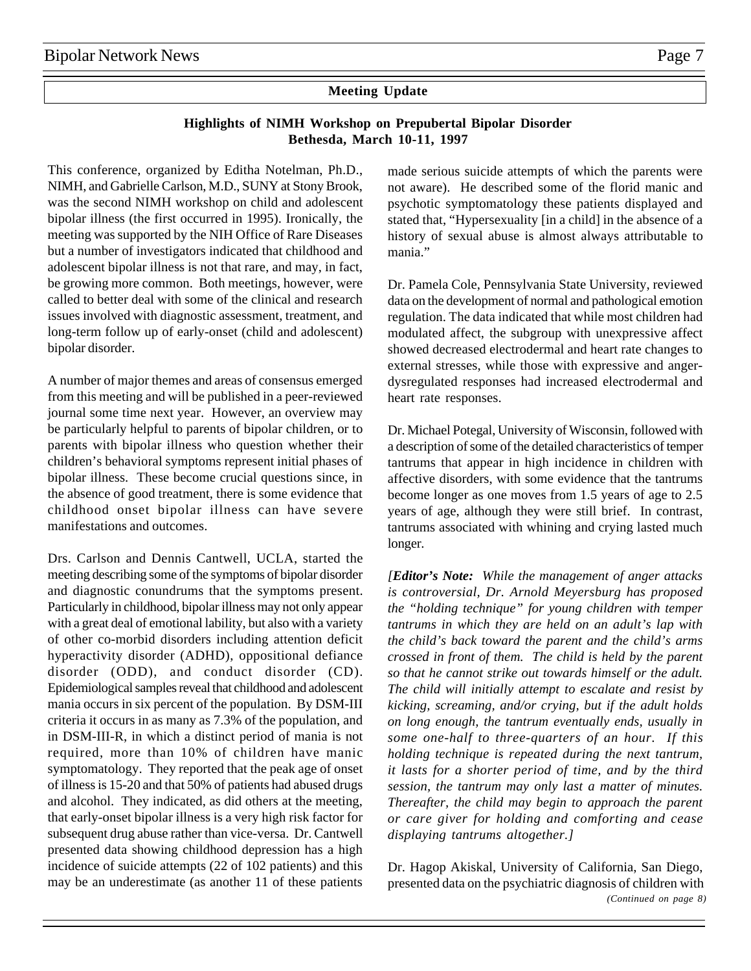## **Meeting Update**

### **Highlights of NIMH Workshop on Prepubertal Bipolar Disorder Bethesda, March 10-11, 1997**

This conference, organized by Editha Notelman, Ph.D., NIMH, and Gabrielle Carlson, M.D., SUNY at Stony Brook, was the second NIMH workshop on child and adolescent bipolar illness (the first occurred in 1995). Ironically, the meeting was supported by the NIH Office of Rare Diseases but a number of investigators indicated that childhood and adolescent bipolar illness is not that rare, and may, in fact, be growing more common. Both meetings, however, were called to better deal with some of the clinical and research issues involved with diagnostic assessment, treatment, and long-term follow up of early-onset (child and adolescent) bipolar disorder.

A number of major themes and areas of consensus emerged from this meeting and will be published in a peer-reviewed journal some time next year. However, an overview may be particularly helpful to parents of bipolar children, or to parents with bipolar illness who question whether their children's behavioral symptoms represent initial phases of bipolar illness. These become crucial questions since, in the absence of good treatment, there is some evidence that childhood onset bipolar illness can have severe manifestations and outcomes.

Drs. Carlson and Dennis Cantwell, UCLA, started the meeting describing some of the symptoms of bipolar disorder and diagnostic conundrums that the symptoms present. Particularly in childhood, bipolar illness may not only appear with a great deal of emotional lability, but also with a variety of other co-morbid disorders including attention deficit hyperactivity disorder (ADHD), oppositional defiance disorder (ODD), and conduct disorder (CD). Epidemiological samples reveal that childhood and adolescent mania occurs in six percent of the population. By DSM-III criteria it occurs in as many as 7.3% of the population, and in DSM-III-R, in which a distinct period of mania is not required, more than 10% of children have manic symptomatology. They reported that the peak age of onset of illness is 15-20 and that 50% of patients had abused drugs and alcohol. They indicated, as did others at the meeting, that early-onset bipolar illness is a very high risk factor for subsequent drug abuse rather than vice-versa. Dr. Cantwell presented data showing childhood depression has a high incidence of suicide attempts (22 of 102 patients) and this may be an underestimate (as another 11 of these patients made serious suicide attempts of which the parents were not aware). He described some of the florid manic and psychotic symptomatology these patients displayed and stated that, "Hypersexuality [in a child] in the absence of a history of sexual abuse is almost always attributable to mania."

Dr. Pamela Cole, Pennsylvania State University, reviewed data on the development of normal and pathological emotion regulation. The data indicated that while most children had modulated affect, the subgroup with unexpressive affect showed decreased electrodermal and heart rate changes to external stresses, while those with expressive and angerdysregulated responses had increased electrodermal and heart rate responses.

Dr. Michael Potegal, University of Wisconsin, followed with a description of some of the detailed characteristics of temper tantrums that appear in high incidence in children with affective disorders, with some evidence that the tantrums become longer as one moves from 1.5 years of age to 2.5 years of age, although they were still brief. In contrast, tantrums associated with whining and crying lasted much longer.

*[Editor's Note: While the management of anger attacks is controversial, Dr. Arnold Meyersburg has proposed the "holding technique" for young children with temper tantrums in which they are held on an adult's lap with the child's back toward the parent and the child's arms crossed in front of them. The child is held by the parent so that he cannot strike out towards himself or the adult. The child will initially attempt to escalate and resist by kicking, screaming, and/or crying, but if the adult holds on long enough, the tantrum eventually ends, usually in some one-half to three-quarters of an hour. If this holding technique is repeated during the next tantrum, it lasts for a shorter period of time, and by the third session, the tantrum may only last a matter of minutes. Thereafter, the child may begin to approach the parent or care giver for holding and comforting and cease displaying tantrums altogether.]*

Dr. Hagop Akiskal, University of California, San Diego, presented data on the psychiatric diagnosis of children with *(Continued on page 8)*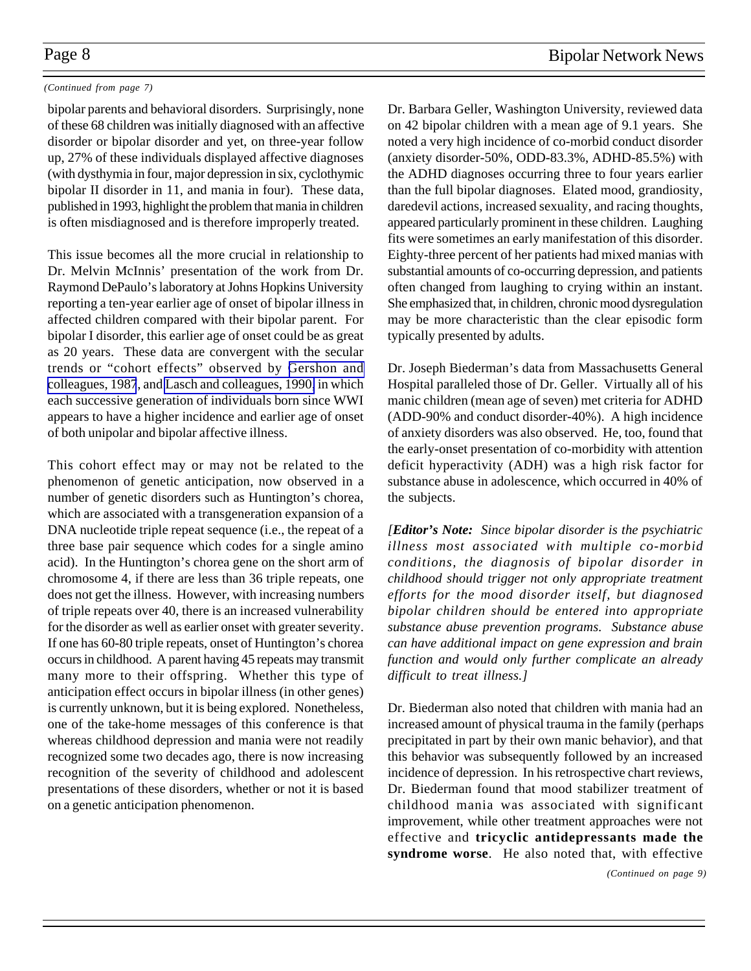### *(Continued from page 7)*

bipolar parents and behavioral disorders. Surprisingly, none of these 68 children was initially diagnosed with an affective disorder or bipolar disorder and yet, on three-year follow up, 27% of these individuals displayed affective diagnoses (with dysthymia in four, major depression in six, cyclothymic bipolar II disorder in 11, and mania in four). These data, published in 1993, highlight the problem that mania in children is often misdiagnosed and is therefore improperly treated.

This issue becomes all the more crucial in relationship to Dr. Melvin McInnis' presentation of the work from Dr. Raymond DePaulo's laboratory at Johns Hopkins University reporting a ten-year earlier age of onset of bipolar illness in affected children compared with their bipolar parent. For bipolar I disorder, this earlier age of onset could be as great as 20 years. These data are convergent with the secular trends or "cohort effects" observed by [Gershon and](http://www.ncbi.nlm.nih.gov:80/entrez/query.fcgi?cmd=Retrieve&db=PubMed&list_uids=3566454&dopt=Abstract) [colleagues, 1987](http://www.ncbi.nlm.nih.gov:80/entrez/query.fcgi?cmd=Retrieve&db=PubMed&list_uids=3566454&dopt=Abstract), and [Lasch and colleagues, 1990,](http://www.ncbi.nlm.nih.gov:80/entrez/query.fcgi?cmd=Retrieve&db=PubMed&list_uids=2217656&dopt=Abstract) in which each successive generation of individuals born since WWI appears to have a higher incidence and earlier age of onset of both unipolar and bipolar affective illness.

This cohort effect may or may not be related to the phenomenon of genetic anticipation, now observed in a number of genetic disorders such as Huntington's chorea, which are associated with a transgeneration expansion of a DNA nucleotide triple repeat sequence (i.e., the repeat of a three base pair sequence which codes for a single amino acid). In the Huntington's chorea gene on the short arm of chromosome 4, if there are less than 36 triple repeats, one does not get the illness. However, with increasing numbers of triple repeats over 40, there is an increased vulnerability for the disorder as well as earlier onset with greater severity. If one has 60-80 triple repeats, onset of Huntington's chorea occurs in childhood. A parent having 45 repeats may transmit many more to their offspring. Whether this type of anticipation effect occurs in bipolar illness (in other genes) is currently unknown, but it is being explored. Nonetheless, one of the take-home messages of this conference is that whereas childhood depression and mania were not readily recognized some two decades ago, there is now increasing recognition of the severity of childhood and adolescent presentations of these disorders, whether or not it is based on a genetic anticipation phenomenon.

Dr. Barbara Geller, Washington University, reviewed data on 42 bipolar children with a mean age of 9.1 years. She noted a very high incidence of co-morbid conduct disorder (anxiety disorder-50%, ODD-83.3%, ADHD-85.5%) with the ADHD diagnoses occurring three to four years earlier than the full bipolar diagnoses. Elated mood, grandiosity, daredevil actions, increased sexuality, and racing thoughts, appeared particularly prominent in these children. Laughing fits were sometimes an early manifestation of this disorder. Eighty-three percent of her patients had mixed manias with substantial amounts of co-occurring depression, and patients often changed from laughing to crying within an instant. She emphasized that, in children, chronic mood dysregulation may be more characteristic than the clear episodic form typically presented by adults.

Dr. Joseph Biederman's data from Massachusetts General Hospital paralleled those of Dr. Geller. Virtually all of his manic children (mean age of seven) met criteria for ADHD (ADD-90% and conduct disorder-40%). A high incidence of anxiety disorders was also observed. He, too, found that the early-onset presentation of co-morbidity with attention deficit hyperactivity (ADH) was a high risk factor for substance abuse in adolescence, which occurred in 40% of the subjects.

*[Editor's Note: Since bipolar disorder is the psychiatric illness most associated with multiple co-morbid conditions, the diagnosis of bipolar disorder in childhood should trigger not only appropriate treatment efforts for the mood disorder itself, but diagnosed bipolar children should be entered into appropriate substance abuse prevention programs. Substance abuse can have additional impact on gene expression and brain function and would only further complicate an already difficult to treat illness.]*

Dr. Biederman also noted that children with mania had an increased amount of physical trauma in the family (perhaps precipitated in part by their own manic behavior), and that this behavior was subsequently followed by an increased incidence of depression. In his retrospective chart reviews, Dr. Biederman found that mood stabilizer treatment of childhood mania was associated with significant improvement, while other treatment approaches were not effective and **tricyclic antidepressants made the syndrome worse**. He also noted that, with effective

*(Continued on page 9)*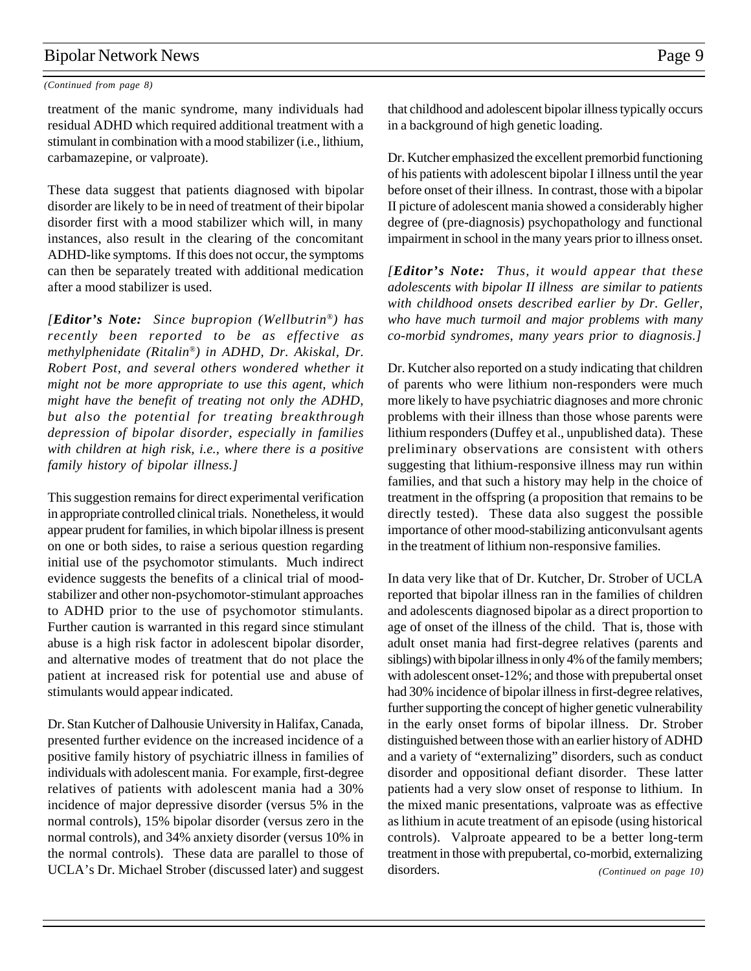### *(Continued from page 8)*

treatment of the manic syndrome, many individuals had residual ADHD which required additional treatment with a stimulant in combination with a mood stabilizer (i.e., lithium, carbamazepine, or valproate).

These data suggest that patients diagnosed with bipolar disorder are likely to be in need of treatment of their bipolar disorder first with a mood stabilizer which will, in many instances, also result in the clearing of the concomitant ADHD-like symptoms. If this does not occur, the symptoms can then be separately treated with additional medication after a mood stabilizer is used.

*[Editor's Note: Since bupropion (Wellbutrin®) has recently been reported to be as effective as methylphenidate (Ritalin®) in ADHD, Dr. Akiskal, Dr. Robert Post, and several others wondered whether it might not be more appropriate to use this agent, which might have the benefit of treating not only the ADHD, but also the potential for treating breakthrough depression of bipolar disorder, especially in families with children at high risk, i.e., where there is a positive family history of bipolar illness.]*

This suggestion remains for direct experimental verification in appropriate controlled clinical trials. Nonetheless, it would appear prudent for families, in which bipolar illness is present on one or both sides, to raise a serious question regarding initial use of the psychomotor stimulants. Much indirect evidence suggests the benefits of a clinical trial of moodstabilizer and other non-psychomotor-stimulant approaches to ADHD prior to the use of psychomotor stimulants. Further caution is warranted in this regard since stimulant abuse is a high risk factor in adolescent bipolar disorder, and alternative modes of treatment that do not place the patient at increased risk for potential use and abuse of stimulants would appear indicated.

Dr. Stan Kutcher of Dalhousie University in Halifax, Canada, presented further evidence on the increased incidence of a positive family history of psychiatric illness in families of individuals with adolescent mania. For example, first-degree relatives of patients with adolescent mania had a 30% incidence of major depressive disorder (versus 5% in the normal controls), 15% bipolar disorder (versus zero in the normal controls), and 34% anxiety disorder (versus 10% in the normal controls). These data are parallel to those of UCLA's Dr. Michael Strober (discussed later) and suggest that childhood and adolescent bipolar illness typically occurs in a background of high genetic loading.

Dr. Kutcher emphasized the excellent premorbid functioning of his patients with adolescent bipolar I illness until the year before onset of their illness. In contrast, those with a bipolar II picture of adolescent mania showed a considerably higher degree of (pre-diagnosis) psychopathology and functional impairment in school in the many years prior to illness onset.

*[Editor's Note: Thus, it would appear that these adolescents with bipolar II illness are similar to patients with childhood onsets described earlier by Dr. Geller, who have much turmoil and major problems with many co-morbid syndromes, many years prior to diagnosis.]*

Dr. Kutcher also reported on a study indicating that children of parents who were lithium non-responders were much more likely to have psychiatric diagnoses and more chronic problems with their illness than those whose parents were lithium responders (Duffey et al., unpublished data). These preliminary observations are consistent with others suggesting that lithium-responsive illness may run within families, and that such a history may help in the choice of treatment in the offspring (a proposition that remains to be directly tested). These data also suggest the possible importance of other mood-stabilizing anticonvulsant agents in the treatment of lithium non-responsive families.

In data very like that of Dr. Kutcher, Dr. Strober of UCLA reported that bipolar illness ran in the families of children and adolescents diagnosed bipolar as a direct proportion to age of onset of the illness of the child. That is, those with adult onset mania had first-degree relatives (parents and siblings) with bipolar illness in only 4% of the family members; with adolescent onset-12%; and those with prepubertal onset had 30% incidence of bipolar illness in first-degree relatives, further supporting the concept of higher genetic vulnerability in the early onset forms of bipolar illness. Dr. Strober distinguished between those with an earlier history of ADHD and a variety of "externalizing" disorders, such as conduct disorder and oppositional defiant disorder. These latter patients had a very slow onset of response to lithium. In the mixed manic presentations, valproate was as effective as lithium in acute treatment of an episode (using historical controls). Valproate appeared to be a better long-term treatment in those with prepubertal, co-morbid, externalizing disorders. *(Continued on page 10)*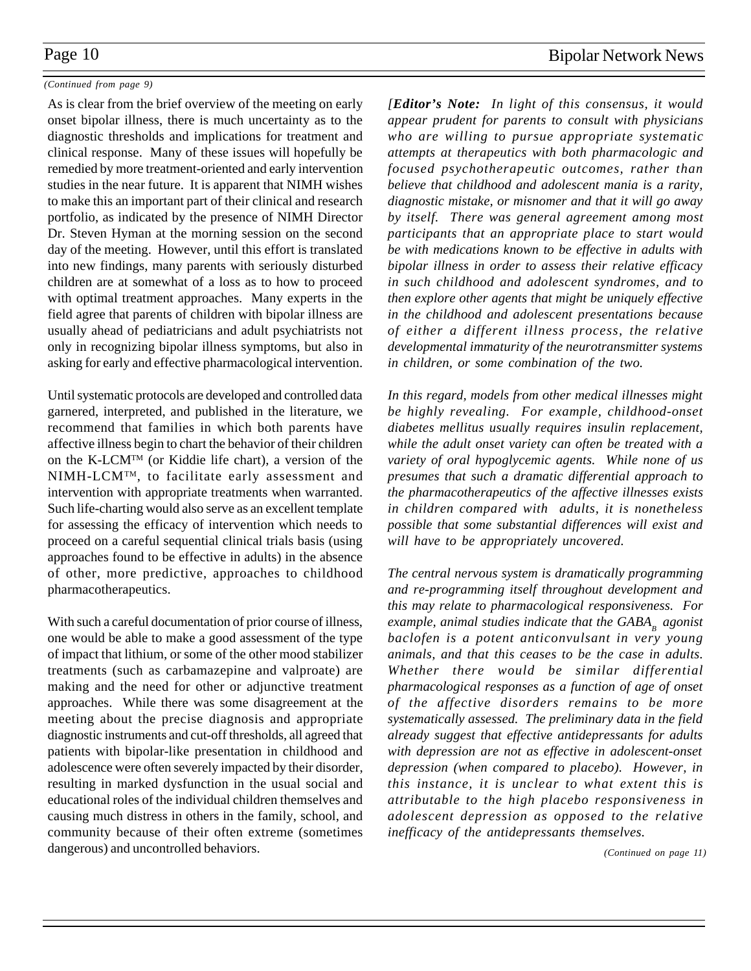### *(Continued from page 9)*

As is clear from the brief overview of the meeting on early onset bipolar illness, there is much uncertainty as to the diagnostic thresholds and implications for treatment and clinical response. Many of these issues will hopefully be remedied by more treatment-oriented and early intervention studies in the near future. It is apparent that NIMH wishes to make this an important part of their clinical and research portfolio, as indicated by the presence of NIMH Director Dr. Steven Hyman at the morning session on the second day of the meeting. However, until this effort is translated into new findings, many parents with seriously disturbed children are at somewhat of a loss as to how to proceed with optimal treatment approaches. Many experts in the field agree that parents of children with bipolar illness are usually ahead of pediatricians and adult psychiatrists not only in recognizing bipolar illness symptoms, but also in asking for early and effective pharmacological intervention.

Until systematic protocols are developed and controlled data garnered, interpreted, and published in the literature, we recommend that families in which both parents have affective illness begin to chart the behavior of their children on the K-LCMTM (or Kiddie life chart), a version of the NIMH-LCMTM, to facilitate early assessment and intervention with appropriate treatments when warranted. Such life-charting would also serve as an excellent template for assessing the efficacy of intervention which needs to proceed on a careful sequential clinical trials basis (using approaches found to be effective in adults) in the absence of other, more predictive, approaches to childhood pharmacotherapeutics.

With such a careful documentation of prior course of illness, one would be able to make a good assessment of the type of impact that lithium, or some of the other mood stabilizer treatments (such as carbamazepine and valproate) are making and the need for other or adjunctive treatment approaches. While there was some disagreement at the meeting about the precise diagnosis and appropriate diagnostic instruments and cut-off thresholds, all agreed that patients with bipolar-like presentation in childhood and adolescence were often severely impacted by their disorder, resulting in marked dysfunction in the usual social and educational roles of the individual children themselves and causing much distress in others in the family, school, and community because of their often extreme (sometimes dangerous) and uncontrolled behaviors.

*[Editor's Note: In light of this consensus, it would appear prudent for parents to consult with physicians who are willing to pursue appropriate systematic attempts at therapeutics with both pharmacologic and focused psychotherapeutic outcomes, rather than believe that childhood and adolescent mania is a rarity, diagnostic mistake, or misnomer and that it will go away by itself. There was general agreement among most participants that an appropriate place to start would be with medications known to be effective in adults with bipolar illness in order to assess their relative efficacy in such childhood and adolescent syndromes, and to then explore other agents that might be uniquely effective in the childhood and adolescent presentations because of either a different illness process, the relative developmental immaturity of the neurotransmitter systems in children, or some combination of the two.*

*In this regard, models from other medical illnesses might be highly revealing. For example, childhood-onset diabetes mellitus usually requires insulin replacement, while the adult onset variety can often be treated with a variety of oral hypoglycemic agents. While none of us presumes that such a dramatic differential approach to the pharmacotherapeutics of the affective illnesses exists in children compared with adults, it is nonetheless possible that some substantial differences will exist and will have to be appropriately uncovered.*

*The central nervous system is dramatically programming and re-programming itself throughout development and this may relate to pharmacological responsiveness. For example, animal studies indicate that the GABA<sub>p</sub> agonist baclofen is a potent anticonvulsant in very young animals, and that this ceases to be the case in adults. Whether there would be similar differential pharmacological responses as a function of age of onset of the affective disorders remains to be more systematically assessed. The preliminary data in the field already suggest that effective antidepressants for adults with depression are not as effective in adolescent-onset depression (when compared to placebo). However, in this instance, it is unclear to what extent this is attributable to the high placebo responsiveness in adolescent depression as opposed to the relative inefficacy of the antidepressants themselves.*

*(Continued on page 11)*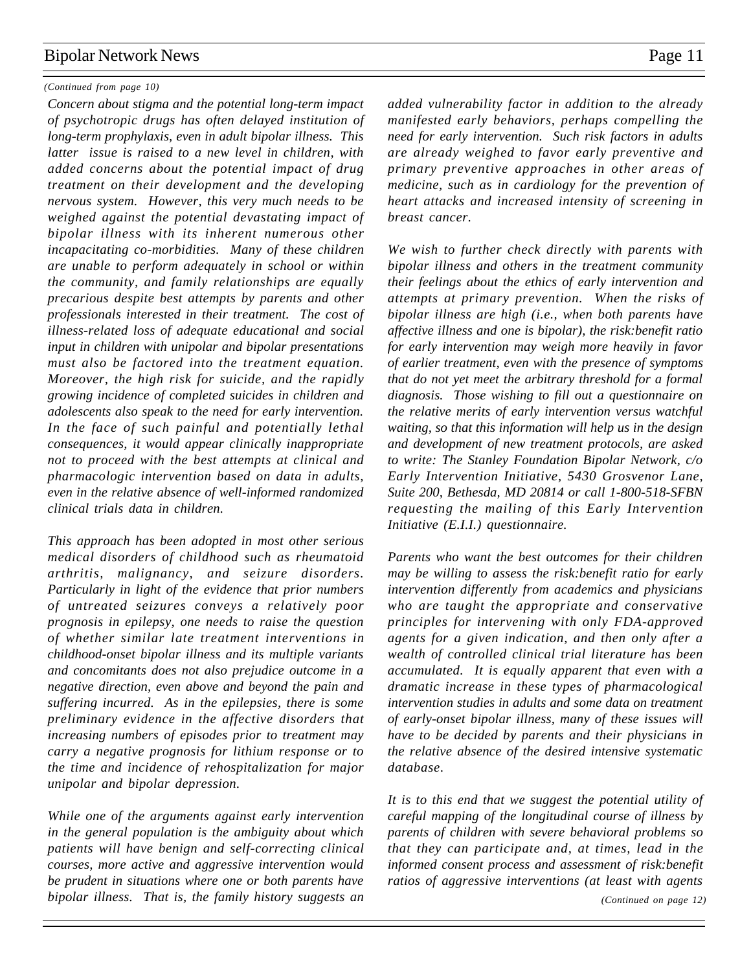### *(Continued from page 10)*

*Concern about stigma and the potential long-term impact of psychotropic drugs has often delayed institution of long-term prophylaxis, even in adult bipolar illness. This latter issue is raised to a new level in children, with added concerns about the potential impact of drug treatment on their development and the developing nervous system. However, this very much needs to be weighed against the potential devastating impact of bipolar illness with its inherent numerous other incapacitating co-morbidities. Many of these children are unable to perform adequately in school or within the community, and family relationships are equally precarious despite best attempts by parents and other professionals interested in their treatment. The cost of illness-related loss of adequate educational and social input in children with unipolar and bipolar presentations must also be factored into the treatment equation. Moreover, the high risk for suicide, and the rapidly growing incidence of completed suicides in children and adolescents also speak to the need for early intervention. In the face of such painful and potentially lethal consequences, it would appear clinically inappropriate not to proceed with the best attempts at clinical and pharmacologic intervention based on data in adults, even in the relative absence of well-informed randomized clinical trials data in children.*

*This approach has been adopted in most other serious medical disorders of childhood such as rheumatoid arthritis, malignancy, and seizure disorders. Particularly in light of the evidence that prior numbers of untreated seizures conveys a relatively poor prognosis in epilepsy, one needs to raise the question of whether similar late treatment interventions in childhood-onset bipolar illness and its multiple variants and concomitants does not also prejudice outcome in a negative direction, even above and beyond the pain and suffering incurred. As in the epilepsies, there is some preliminary evidence in the affective disorders that increasing numbers of episodes prior to treatment may carry a negative prognosis for lithium response or to the time and incidence of rehospitalization for major unipolar and bipolar depression.*

*While one of the arguments against early intervention in the general population is the ambiguity about which patients will have benign and self-correcting clinical courses, more active and aggressive intervention would be prudent in situations where one or both parents have bipolar illness. That is, the family history suggests an*

*added vulnerability factor in addition to the already manifested early behaviors, perhaps compelling the need for early intervention. Such risk factors in adults are already weighed to favor early preventive and primary preventive approaches in other areas of medicine, such as in cardiology for the prevention of heart attacks and increased intensity of screening in breast cancer.*

*We wish to further check directly with parents with bipolar illness and others in the treatment community their feelings about the ethics of early intervention and attempts at primary prevention. When the risks of bipolar illness are high (i.e., when both parents have affective illness and one is bipolar), the risk:benefit ratio for early intervention may weigh more heavily in favor of earlier treatment, even with the presence of symptoms that do not yet meet the arbitrary threshold for a formal diagnosis. Those wishing to fill out a questionnaire on the relative merits of early intervention versus watchful waiting, so that this information will help us in the design and development of new treatment protocols, are asked to write: The Stanley Foundation Bipolar Network, c/o Early Intervention Initiative, 5430 Grosvenor Lane, Suite 200, Bethesda, MD 20814 or call 1-800-518-SFBN requesting the mailing of this Early Intervention Initiative (E.I.I.) questionnaire.*

*Parents who want the best outcomes for their children may be willing to assess the risk:benefit ratio for early intervention differently from academics and physicians who are taught the appropriate and conservative principles for intervening with only FDA-approved agents for a given indication, and then only after a wealth of controlled clinical trial literature has been accumulated. It is equally apparent that even with a dramatic increase in these types of pharmacological intervention studies in adults and some data on treatment of early-onset bipolar illness, many of these issues will have to be decided by parents and their physicians in the relative absence of the desired intensive systematic database.*

*It is to this end that we suggest the potential utility of careful mapping of the longitudinal course of illness by parents of children with severe behavioral problems so that they can participate and, at times, lead in the informed consent process and assessment of risk:benefit ratios of aggressive interventions (at least with agents*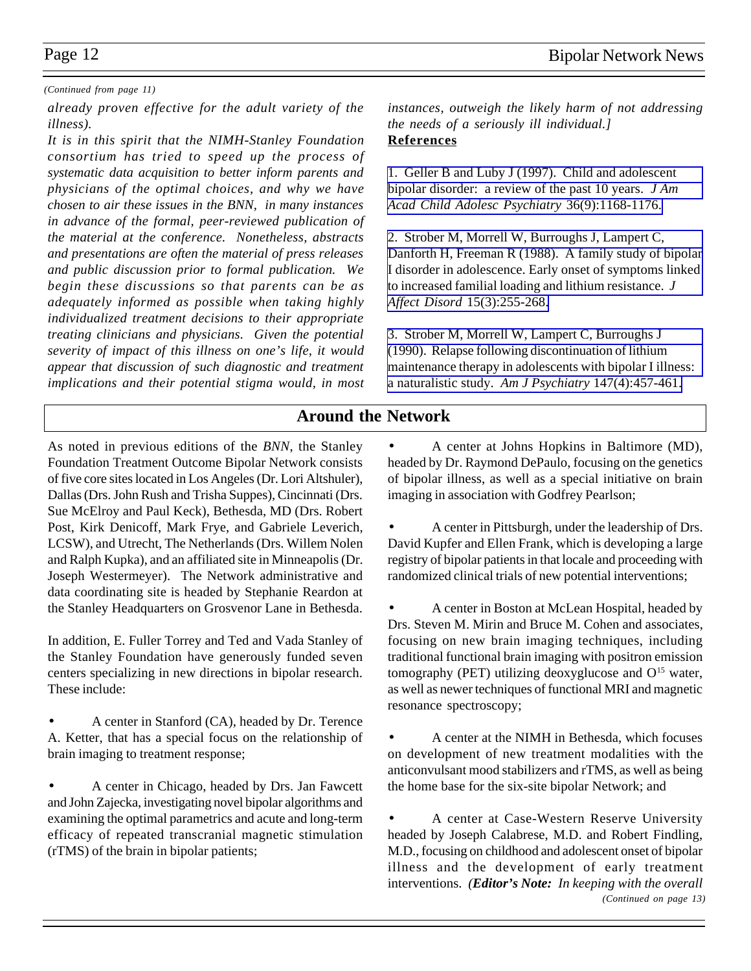### *(Continued from page 11)*

*already proven effective for the adult variety of the illness).*

*It is in this spirit that the NIMH-Stanley Foundation consortium has tried to speed up the process of systematic data acquisition to better inform parents and physicians of the optimal choices, and why we have chosen to air these issues in the BNN, in many instances in advance of the formal, peer-reviewed publication of the material at the conference. Nonetheless, abstracts and presentations are often the material of press releases and public discussion prior to formal publication. We begin these discussions so that parents can be as adequately informed as possible when taking highly individualized treatment decisions to their appropriate treating clinicians and physicians. Given the potential severity of impact of this illness on one's life, it would appear that discussion of such diagnostic and treatment implications and their potential stigma would, in most*

*instances, outweigh the likely harm of not addressing the needs of a seriously ill individual.]* **References**

[1. Geller B and Luby J \(1997\). Child and adolescent](http://www.ncbi.nlm.nih.gov:80/entrez/query.fcgi?cmd=Retrieve&db=PubMed&list_uids=9291717&dopt=Abstract) [bipolar disorder: a review of the past 10 years.](http://www.ncbi.nlm.nih.gov:80/entrez/query.fcgi?cmd=Retrieve&db=PubMed&list_uids=9291717&dopt=Abstract) *J Am [Acad Child Adolesc Psychiatry](http://www.ncbi.nlm.nih.gov:80/entrez/query.fcgi?cmd=Retrieve&db=PubMed&list_uids=9291717&dopt=Abstract)* 36(9):1168-1176.

[2. Strober M, Morrell W, Burroughs J, Lampert C,](http://www.ncbi.nlm.nih.gov:80/entrez/query.fcgi?cmd=Retrieve&db=PubMed&list_uids=2975298&dopt=Abstract) Danforth H, Freeman R (1988). A family study of bipolar [I disorder in adolescence. Early onset of symptoms linked](http://www.ncbi.nlm.nih.gov:80/entrez/query.fcgi?cmd=Retrieve&db=PubMed&list_uids=2975298&dopt=Abstract) to increased familial loading and lithium resistance. *J Affect Disord* [15\(3\):255-268.](http://www.ncbi.nlm.nih.gov:80/entrez/query.fcgi?cmd=Retrieve&db=PubMed&list_uids=2975298&dopt=Abstract)

[3. Strober M, Morrell W, Lampert C, Burroughs J](http://www.ncbi.nlm.nih.gov:80/entrez/query.fcgi?cmd=Retrieve&db=PubMed&list_uids=2107763&dopt=Abstract) (1990). Relapse following discontinuation of lithium [maintenance therapy in adolescents with bipolar I illness:](http://www.ncbi.nlm.nih.gov:80/entrez/query.fcgi?cmd=Retrieve&db=PubMed&list_uids=2107763&dopt=Abstract) [a naturalistic study.](http://www.ncbi.nlm.nih.gov:80/entrez/query.fcgi?cmd=Retrieve&db=PubMed&list_uids=2107763&dopt=Abstract) *Am J Psychiatry* 147(4):457-461.

# **Around the Network**

As noted in previous editions of the *BNN*, the Stanley Foundation Treatment Outcome Bipolar Network consists of five core sites located in Los Angeles (Dr. Lori Altshuler), Dallas (Drs. John Rush and Trisha Suppes), Cincinnati (Drs. Sue McElroy and Paul Keck), Bethesda, MD (Drs. Robert Post, Kirk Denicoff, Mark Frye, and Gabriele Leverich, LCSW), and Utrecht, The Netherlands (Drs. Willem Nolen and Ralph Kupka), and an affiliated site in Minneapolis (Dr. Joseph Westermeyer). The Network administrative and data coordinating site is headed by Stephanie Reardon at the Stanley Headquarters on Grosvenor Lane in Bethesda.

In addition, E. Fuller Torrey and Ted and Vada Stanley of the Stanley Foundation have generously funded seven centers specializing in new directions in bipolar research. These include:

• A center in Stanford (CA), headed by Dr. Terence A. Ketter, that has a special focus on the relationship of brain imaging to treatment response;

• A center in Chicago, headed by Drs. Jan Fawcett and John Zajecka, investigating novel bipolar algorithms and examining the optimal parametrics and acute and long-term efficacy of repeated transcranial magnetic stimulation (rTMS) of the brain in bipolar patients;

• A center at Johns Hopkins in Baltimore (MD), headed by Dr. Raymond DePaulo, focusing on the genetics of bipolar illness, as well as a special initiative on brain imaging in association with Godfrey Pearlson;

• A center in Pittsburgh, under the leadership of Drs. David Kupfer and Ellen Frank, which is developing a large registry of bipolar patients in that locale and proceeding with randomized clinical trials of new potential interventions;

• A center in Boston at McLean Hospital, headed by Drs. Steven M. Mirin and Bruce M. Cohen and associates, focusing on new brain imaging techniques, including traditional functional brain imaging with positron emission tomography (PET) utilizing deoxyglucose and  $O<sup>15</sup>$  water, as well as newer techniques of functional MRI and magnetic resonance spectroscopy;

• A center at the NIMH in Bethesda, which focuses on development of new treatment modalities with the anticonvulsant mood stabilizers and rTMS, as well as being the home base for the six-site bipolar Network; and

• A center at Case-Western Reserve University headed by Joseph Calabrese, M.D. and Robert Findling, M.D., focusing on childhood and adolescent onset of bipolar illness and the development of early treatment interventions. *(Editor's Note: In keeping with the overall (Continued on page 13)*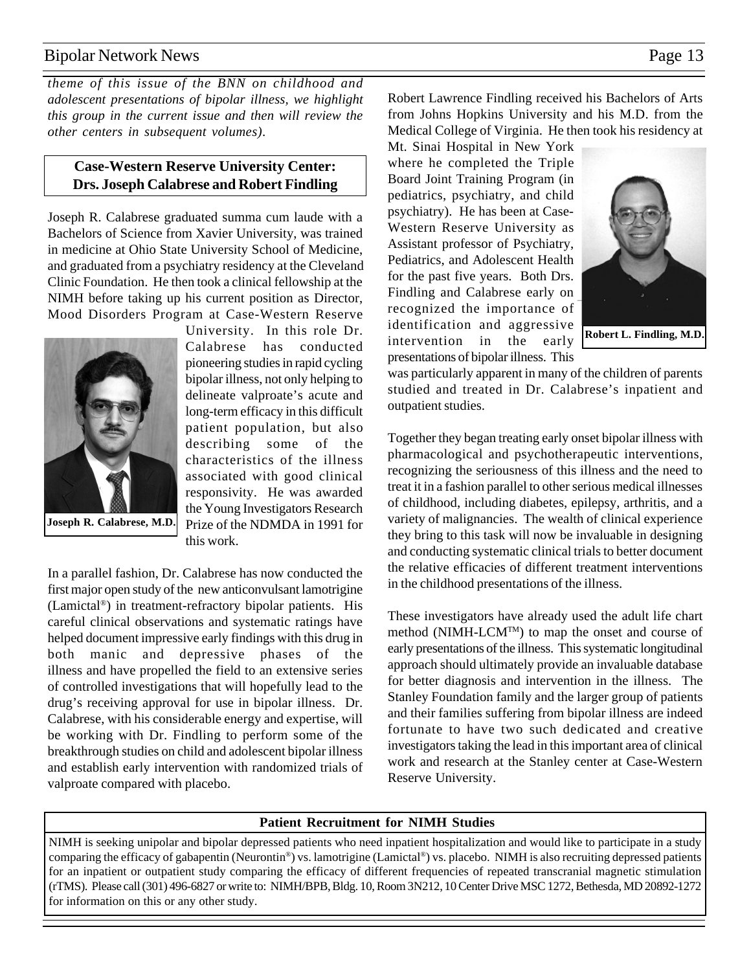*theme of this issue of the BNN on childhood and adolescent presentations of bipolar illness, we highlight this group in the current issue and then will review the other centers in subsequent volumes)*.

### **Case-Western Reserve University Center: Drs. Joseph Calabrese and Robert Findling**

Joseph R. Calabrese graduated summa cum laude with a Bachelors of Science from Xavier University, was trained in medicine at Ohio State University School of Medicine, and graduated from a psychiatry residency at the Cleveland Clinic Foundation. He then took a clinical fellowship at the NIMH before taking up his current position as Director, Mood Disorders Program at Case-Western Reserve



University. In this role Dr. Calabrese has conducted pioneering studies in rapid cycling bipolar illness, not only helping to delineate valproate's acute and long-term efficacy in this difficult patient population, but also describing some of the characteristics of the illness associated with good clinical responsivity. He was awarded the Young Investigators Research Prize of the NDMDA in 1991 for this work.

In a parallel fashion, Dr. Calabrese has now conducted the first major open study of the new anticonvulsant lamotrigine (Lamictal®) in treatment-refractory bipolar patients. His careful clinical observations and systematic ratings have helped document impressive early findings with this drug in both manic and depressive phases of the illness and have propelled the field to an extensive series of controlled investigations that will hopefully lead to the drug's receiving approval for use in bipolar illness. Dr. Calabrese, with his considerable energy and expertise, will be working with Dr. Findling to perform some of the breakthrough studies on child and adolescent bipolar illness and establish early intervention with randomized trials of valproate compared with placebo.

Robert Lawrence Findling received his Bachelors of Arts from Johns Hopkins University and his M.D. from the Medical College of Virginia. He then took his residency at

Mt. Sinai Hospital in New York where he completed the Triple Board Joint Training Program (in pediatrics, psychiatry, and child psychiatry). He has been at Case-Western Reserve University as Assistant professor of Psychiatry, Pediatrics, and Adolescent Health for the past five years. Both Drs. Findling and Calabrese early on recognized the importance of identification and aggressive intervention in the early presentations of bipolar illness. This



**Robert L. Findling, M.D.**

was particularly apparent in many of the children of parents studied and treated in Dr. Calabrese's inpatient and outpatient studies.

Together they began treating early onset bipolar illness with pharmacological and psychotherapeutic interventions, recognizing the seriousness of this illness and the need to treat it in a fashion parallel to other serious medical illnesses of childhood, including diabetes, epilepsy, arthritis, and a variety of malignancies. The wealth of clinical experience they bring to this task will now be invaluable in designing and conducting systematic clinical trials to better document the relative efficacies of different treatment interventions in the childhood presentations of the illness.

These investigators have already used the adult life chart method (NIMH-LCMTM) to map the onset and course of early presentations of the illness. This systematic longitudinal approach should ultimately provide an invaluable database for better diagnosis and intervention in the illness. The Stanley Foundation family and the larger group of patients and their families suffering from bipolar illness are indeed fortunate to have two such dedicated and creative investigators taking the lead in this important area of clinical work and research at the Stanley center at Case-Western Reserve University.

### **Patient Recruitment for NIMH Studies**

NIMH is seeking unipolar and bipolar depressed patients who need inpatient hospitalization and would like to participate in a study comparing the efficacy of gabapentin (Neurontin®) vs. lamotrigine (Lamictal®) vs. placebo. NIMH is also recruiting depressed patients for an inpatient or outpatient study comparing the efficacy of different frequencies of repeated transcranial magnetic stimulation (rTMS). Please call (301) 496-6827 or write to: NIMH/BPB, Bldg. 10, Room 3N212, 10 Center Drive MSC 1272, Bethesda, MD 20892-1272 for information on this or any other study.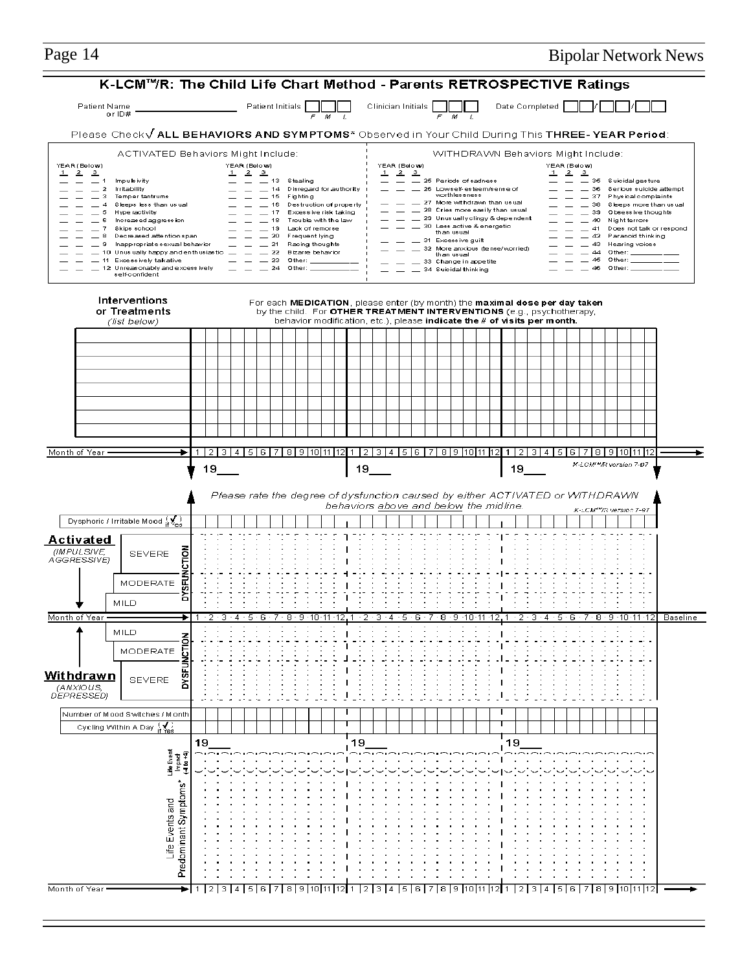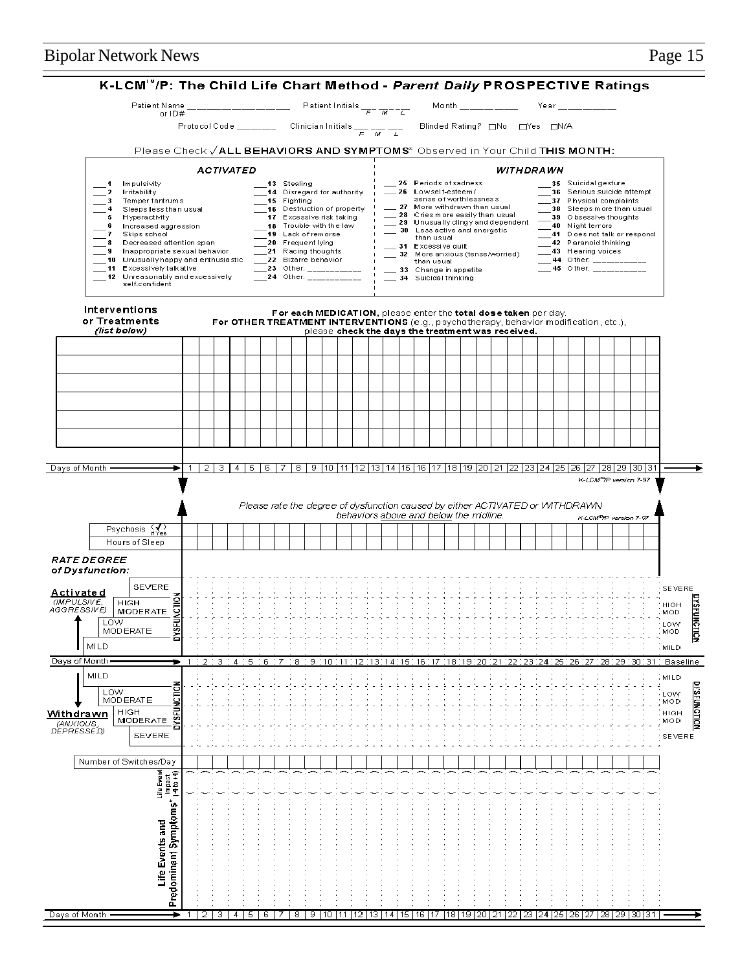